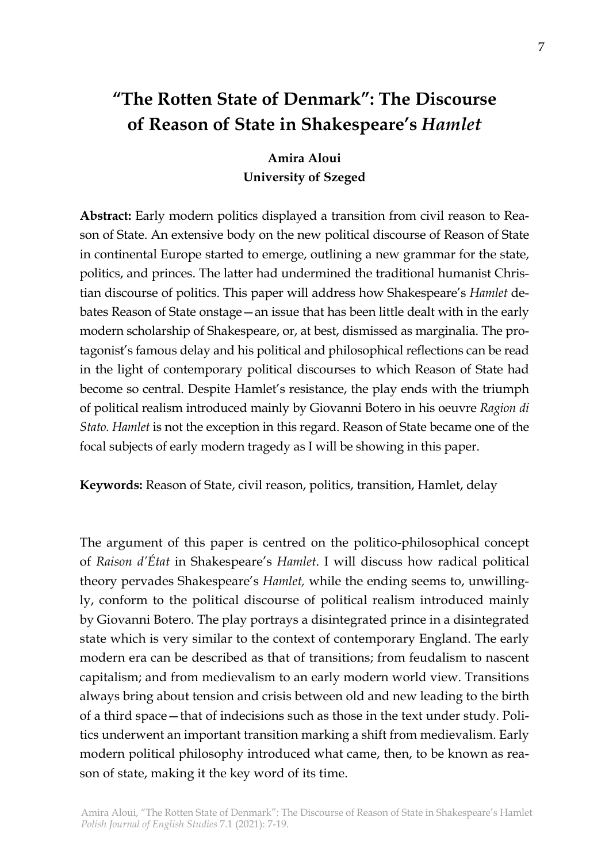# **"The Rotten State of Denmark": The Discourse of Reason of State in Shakespeare's** *Hamlet*

**Amira Aloui University of Szeged**

**Abstract:** Early modern politics displayed a transition from civil reason to Reason of State. An extensive body on the new political discourse of Reason of State in continental Europe started to emerge, outlining a new grammar for the state, politics, and princes. The latter had undermined the traditional humanist Christian discourse of politics. This paper will address how Shakespeare's *Hamlet* debates Reason of State onstage—an issue that has been little dealt with in the early modern scholarship of Shakespeare, or, at best, dismissed as marginalia. The protagonist's famous delay and his political and philosophical reflections can be read in the light of contemporary political discourses to which Reason of State had become so central. Despite Hamlet's resistance, the play ends with the triumph of political realism introduced mainly by Giovanni Botero in his oeuvre *Ragion di Stato. Hamlet* is not the exception in this regard. Reason of State became one of the focal subjects of early modern tragedy as I will be showing in this paper.

**Keywords:** Reason of State, civil reason, politics, transition, Hamlet, delay

The argument of this paper is centred on the politico-philosophical concept of *Raison d'État* in Shakespeare's *Hamlet*. I will discuss how radical political theory pervades Shakespeare's *Hamlet,* while the ending seems to, unwillingly, conform to the political discourse of political realism introduced mainly by Giovanni Botero. The play portrays a disintegrated prince in a disintegrated state which is very similar to the context of contemporary England. The early modern era can be described as that of transitions; from feudalism to nascent capitalism; and from medievalism to an early modern world view. Transitions always bring about tension and crisis between old and new leading to the birth of a third space—that of indecisions such as those in the text under study. Politics underwent an important transition marking a shift from medievalism. Early modern political philosophy introduced what came, then, to be known as reason of state, making it the key word of its time.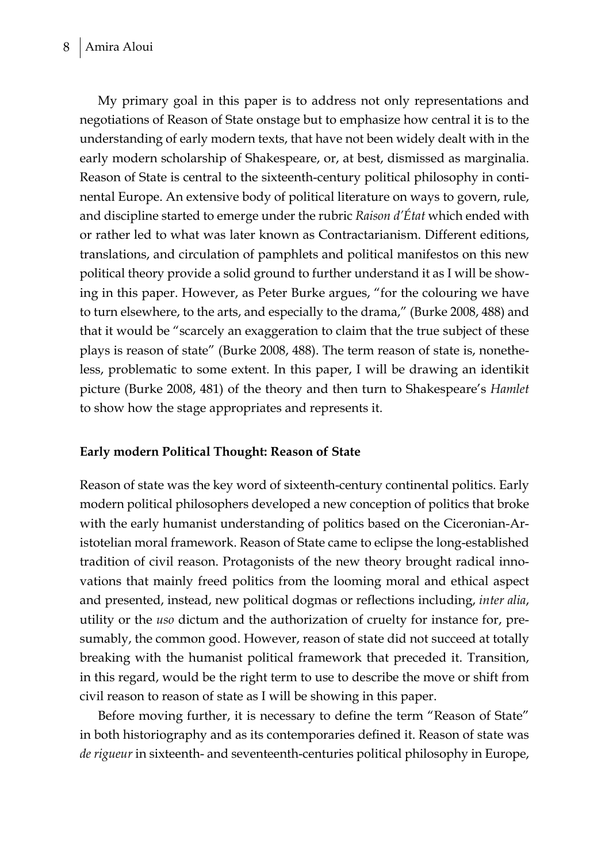My primary goal in this paper is to address not only representations and negotiations of Reason of State onstage but to emphasize how central it is to the understanding of early modern texts, that have not been widely dealt with in the early modern scholarship of Shakespeare, or, at best, dismissed as marginalia. Reason of State is central to the sixteenth-century political philosophy in continental Europe. An extensive body of political literature on ways to govern, rule, and discipline started to emerge under the rubric *Raison d'État* which ended with or rather led to what was later known as Contractarianism. Different editions, translations, and circulation of pamphlets and political manifestos on this new political theory provide a solid ground to further understand it as I will be showing in this paper. However, as Peter Burke argues, "for the colouring we have to turn elsewhere, to the arts, and especially to the drama," (Burke 2008, 488) and that it would be "scarcely an exaggeration to claim that the true subject of these plays is reason of state" (Burke 2008, 488). The term reason of state is, nonetheless, problematic to some extent. In this paper, I will be drawing an identikit picture (Burke 2008, 481) of the theory and then turn to Shakespeare's *Hamlet* to show how the stage appropriates and represents it.

## **Early modern Political Thought: Reason of State**

Reason of state was the key word of sixteenth-century continental politics. Early modern political philosophers developed a new conception of politics that broke with the early humanist understanding of politics based on the Ciceronian-Aristotelian moral framework. Reason of State came to eclipse the long-established tradition of civil reason. Protagonists of the new theory brought radical innovations that mainly freed politics from the looming moral and ethical aspect and presented, instead, new political dogmas or reflections including, *inter alia*, utility or the *uso* dictum and the authorization of cruelty for instance for, presumably, the common good. However, reason of state did not succeed at totally breaking with the humanist political framework that preceded it. Transition, in this regard, would be the right term to use to describe the move or shift from civil reason to reason of state as I will be showing in this paper.

Before moving further, it is necessary to define the term "Reason of State" in both historiography and as its contemporaries defined it. Reason of state was *de rigueur* in sixteenth- and seventeenth-centuries political philosophy in Europe,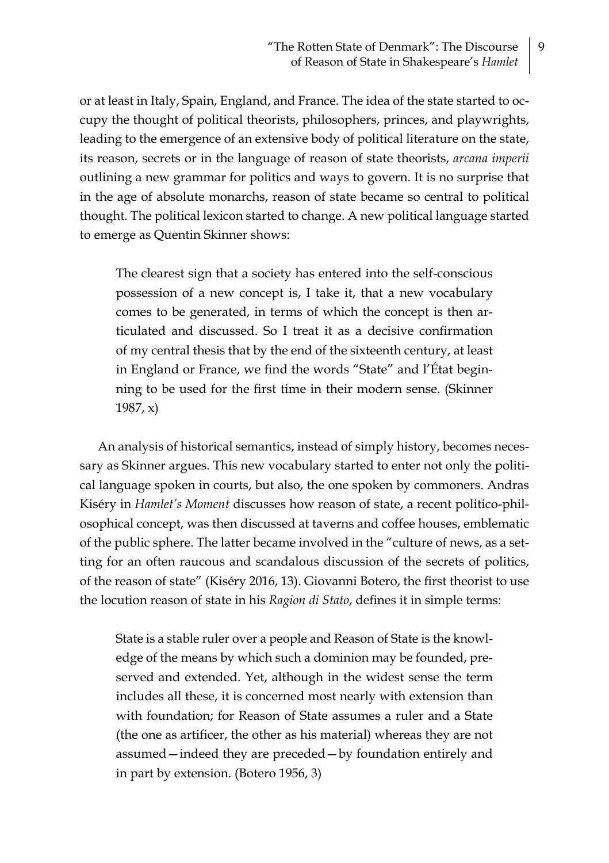or at least in Italy, Spain, England, and France. The idea of the state started to occupy the thought of political theorists, philosophers, princes, and playwrights, leading to the emergence of an extensive body of political literature on the state, its reason, secrets or in the language of reason of state theorists, *arcana imperii* outlining a new grammar for politics and ways to govern. It is no surprise that in the age of absolute monarchs, reason of state became so central to political thought. The political lexicon started to change. A new political language started to emerge as Quentin Skinner shows:

The clearest sign that a society has entered into the self-conscious possession of a new concept is, I take it, that a new vocabulary comes to be generated, in terms of which the concept is then articulated and discussed. So I treat it as a decisive confirmation of my central thesis that by the end of the sixteenth century, at least in England or France, we find the words "State" and l'État beginning to be used for the first time in their modern sense. (Skinner 1987, x)

An analysis of historical semantics, instead of simply history, becomes necessary as Skinner argues. This new vocabulary started to enter not only the political language spoken in courts, but also, the one spoken by commoners. Andras Kiséry in *Hamlet's Moment* discusses how reason of state, a recent politico-philosophical concept, was then discussed at taverns and coffee houses, emblematic of the public sphere. The latter became involved in the "culture of news, as a setting for an often raucous and scandalous discussion of the secrets of politics, of the reason of state" (Kiséry 2016, 13). Giovanni Botero, the first theorist to use the locution reason of state in his *Ragion di Stato*, defines it in simple terms:

State is a stable ruler over a people and Reason of State is the knowledge of the means by which such a dominion may be founded, preserved and extended. Yet, although in the widest sense the term includes all these, it is concerned most nearly with extension than with foundation; for Reason of State assumes a ruler and a State (the one as artificer, the other as his material) whereas they are not assumed—indeed they are preceded—by foundation entirely and in part by extension. (Botero 1956, 3)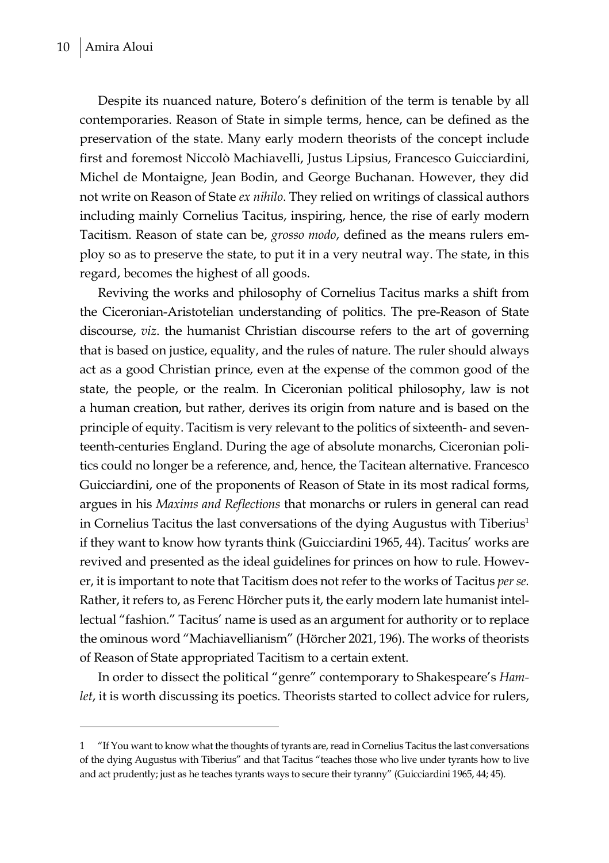Despite its nuanced nature, Botero's definition of the term is tenable by all contemporaries. Reason of State in simple terms, hence, can be defined as the preservation of the state. Many early modern theorists of the concept include first and foremost Niccolò Machiavelli, Justus Lipsius, Francesco Guicciardini, Michel de Montaigne, Jean Bodin, and George Buchanan. However, they did not write on Reason of State *ex nihilo*. They relied on writings of classical authors including mainly Cornelius Tacitus, inspiring, hence, the rise of early modern Tacitism. Reason of state can be, *grosso modo*, defined as the means rulers employ so as to preserve the state, to put it in a very neutral way. The state, in this regard, becomes the highest of all goods.

Reviving the works and philosophy of Cornelius Tacitus marks a shift from the Ciceronian-Aristotelian understanding of politics. The pre-Reason of State discourse, *viz*. the humanist Christian discourse refers to the art of governing that is based on justice, equality, and the rules of nature. The ruler should always act as a good Christian prince, even at the expense of the common good of the state, the people, or the realm. In Ciceronian political philosophy, law is not a human creation, but rather, derives its origin from nature and is based on the principle of equity. Tacitism is very relevant to the politics of sixteenth- and seventeenth-centuries England. During the age of absolute monarchs, Ciceronian politics could no longer be a reference, and, hence, the Tacitean alternative. Francesco Guicciardini, one of the proponents of Reason of State in its most radical forms, argues in his *Maxims and Reflections* that monarchs or rulers in general can read in Cornelius Tacitus the last conversations of the dying Augustus with Tiberius<sup>1</sup> if they want to know how tyrants think (Guicciardini 1965, 44). Tacitus' works are revived and presented as the ideal guidelines for princes on how to rule. However, it is important to note that Tacitism does not refer to the works of Tacitus *per se.* Rather, it refers to, as Ferenc Hörcher puts it, the early modern late humanist intellectual "fashion." Tacitus' name is used as an argument for authority or to replace the ominous word "Machiavellianism" (Hörcher 2021, 196). The works of theorists of Reason of State appropriated Tacitism to a certain extent.

In order to dissect the political "genre" contemporary to Shakespeare's *Hamlet*, it is worth discussing its poetics. Theorists started to collect advice for rulers,

<sup>1</sup> "If You want to know what the thoughts of tyrants are, read in Cornelius Tacitus the last conversations of the dying Augustus with Tiberius" and that Tacitus "teaches those who live under tyrants how to live and act prudently; just as he teaches tyrants ways to secure their tyranny" (Guicciardini 1965, 44; 45).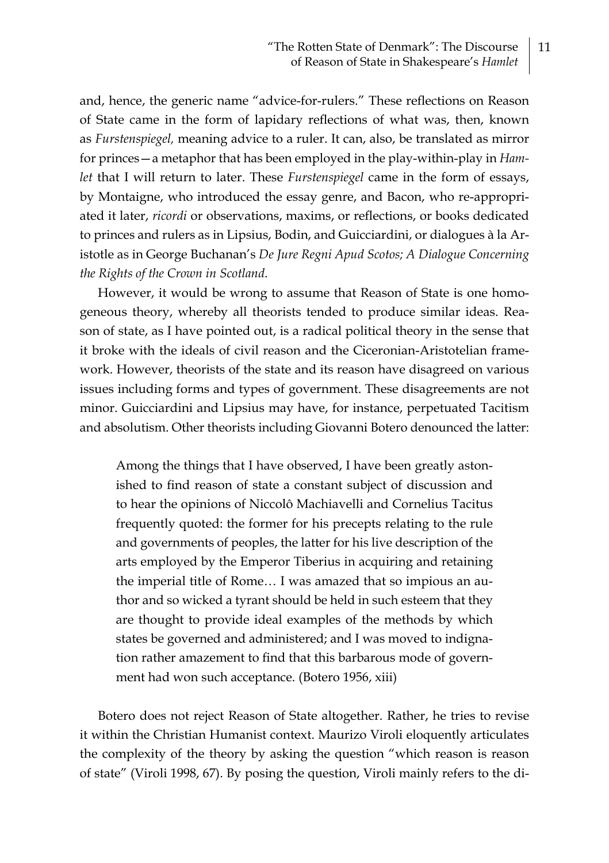and, hence, the generic name "advice-for-rulers." These reflections on Reason of State came in the form of lapidary reflections of what was, then, known as *Furstenspiegel,* meaning advice to a ruler. It can, also, be translated as mirror for princes—a metaphor that has been employed in the play-within-play in *Hamlet* that I will return to later. These *Furstenspiegel* came in the form of essays, by Montaigne, who introduced the essay genre, and Bacon, who re-appropriated it later, *ricordi* or observations, maxims, or reflections, or books dedicated to princes and rulers as in Lipsius, Bodin, and Guicciardini, or dialogues à la Aristotle as in George Buchanan's *De Jure Regni Apud Scotos; A Dialogue Concerning the Rights of the Crown in Scotland*.

However, it would be wrong to assume that Reason of State is one homogeneous theory, whereby all theorists tended to produce similar ideas. Reason of state, as I have pointed out, is a radical political theory in the sense that it broke with the ideals of civil reason and the Ciceronian-Aristotelian framework. However, theorists of the state and its reason have disagreed on various issues including forms and types of government. These disagreements are not minor. Guicciardini and Lipsius may have, for instance, perpetuated Tacitism and absolutism. Other theorists including Giovanni Botero denounced the latter:

Among the things that I have observed, I have been greatly astonished to find reason of state a constant subject of discussion and to hear the opinions of Niccolô Machiavelli and Cornelius Tacitus frequently quoted: the former for his precepts relating to the rule and governments of peoples, the latter for his live description of the arts employed by the Emperor Tiberius in acquiring and retaining the imperial title of Rome… I was amazed that so impious an author and so wicked a tyrant should be held in such esteem that they are thought to provide ideal examples of the methods by which states be governed and administered; and I was moved to indignation rather amazement to find that this barbarous mode of government had won such acceptance. (Botero 1956, xiii)

Botero does not reject Reason of State altogether. Rather, he tries to revise it within the Christian Humanist context. Maurizo Viroli eloquently articulates the complexity of the theory by asking the question "which reason is reason of state" (Viroli 1998, 67). By posing the question, Viroli mainly refers to the di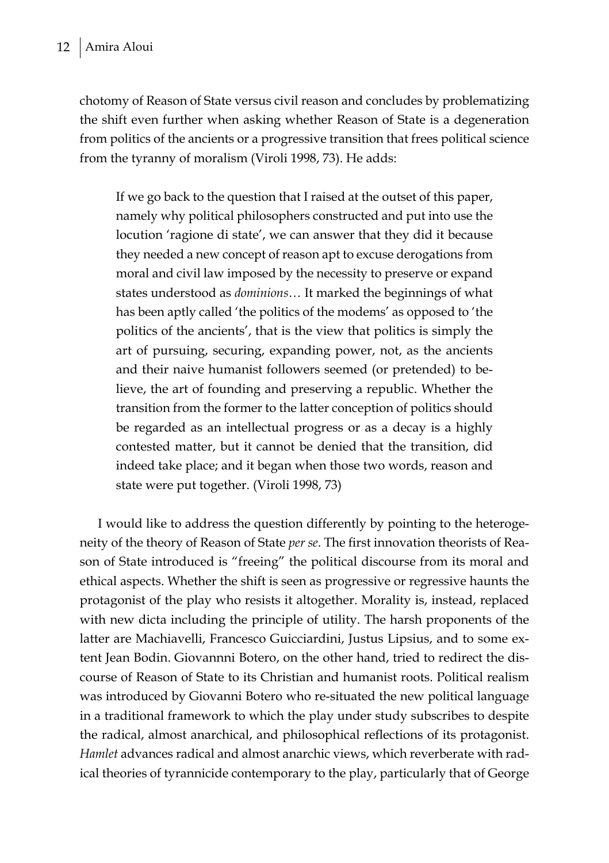chotomy of Reason of State versus civil reason and concludes by problematizing the shift even further when asking whether Reason of State is a degeneration from politics of the ancients or a progressive transition that frees political science from the tyranny of moralism (Viroli 1998, 73). He adds:

If we go back to the question that I raised at the outset of this paper, namely why political philosophers constructed and put into use the locution 'ragione di state', we can answer that they did it because they needed a new concept of reason apt to excuse derogations from moral and civil law imposed by the necessity to preserve or expand states understood as *dominions…* It marked the beginnings of what has been aptly called 'the politics of the modems' as opposed to 'the politics of the ancients', that is the view that politics is simply the art of pursuing, securing, expanding power, not, as the ancients and their naive humanist followers seemed (or pretended) to believe, the art of founding and preserving a republic. Whether the transition from the former to the latter conception of politics should be regarded as an intellectual progress or as a decay is a highly contested matter, but it cannot be denied that the transition, did indeed take place; and it began when those two words, reason and state were put together. (Viroli 1998, 73)

I would like to address the question differently by pointing to the heterogeneity of the theory of Reason of State *per se*. The first innovation theorists of Reason of State introduced is "freeing" the political discourse from its moral and ethical aspects. Whether the shift is seen as progressive or regressive haunts the protagonist of the play who resists it altogether. Morality is, instead, replaced with new dicta including the principle of utility. The harsh proponents of the latter are Machiavelli, Francesco Guicciardini, Justus Lipsius, and to some extent Jean Bodin. Giovannni Botero, on the other hand, tried to redirect the discourse of Reason of State to its Christian and humanist roots. Political realism was introduced by Giovanni Botero who re-situated the new political language in a traditional framework to which the play under study subscribes to despite the radical, almost anarchical, and philosophical reflections of its protagonist. *Hamlet* advances radical and almost anarchic views, which reverberate with radical theories of tyrannicide contemporary to the play, particularly that of George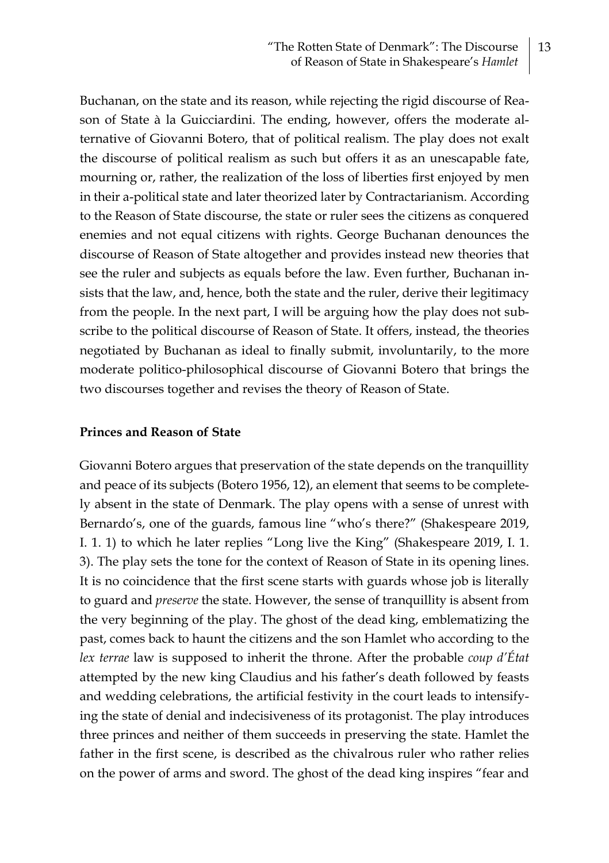Buchanan, on the state and its reason, while rejecting the rigid discourse of Reason of State à la Guicciardini. The ending, however, offers the moderate alternative of Giovanni Botero, that of political realism. The play does not exalt the discourse of political realism as such but offers it as an unescapable fate, mourning or, rather, the realization of the loss of liberties first enjoyed by men in their a-political state and later theorized later by Contractarianism. According to the Reason of State discourse, the state or ruler sees the citizens as conquered enemies and not equal citizens with rights. George Buchanan denounces the discourse of Reason of State altogether and provides instead new theories that see the ruler and subjects as equals before the law. Even further, Buchanan insists that the law, and, hence, both the state and the ruler, derive their legitimacy from the people. In the next part, I will be arguing how the play does not subscribe to the political discourse of Reason of State. It offers, instead, the theories negotiated by Buchanan as ideal to finally submit, involuntarily, to the more moderate politico-philosophical discourse of Giovanni Botero that brings the two discourses together and revises the theory of Reason of State.

#### **Princes and Reason of State**

Giovanni Botero argues that preservation of the state depends on the tranquillity and peace of its subjects (Botero 1956, 12), an element that seems to be completely absent in the state of Denmark. The play opens with a sense of unrest with Bernardo's, one of the guards, famous line "who's there?" (Shakespeare 2019, I. 1. 1) to which he later replies "Long live the King" (Shakespeare 2019, I. 1. 3). The play sets the tone for the context of Reason of State in its opening lines. It is no coincidence that the first scene starts with guards whose job is literally to guard and *preserve* the state. However, the sense of tranquillity is absent from the very beginning of the play. The ghost of the dead king, emblematizing the past, comes back to haunt the citizens and the son Hamlet who according to the *lex terrae* law is supposed to inherit the throne. After the probable *coup d'État*  attempted by the new king Claudius and his father's death followed by feasts and wedding celebrations, the artificial festivity in the court leads to intensifying the state of denial and indecisiveness of its protagonist. The play introduces three princes and neither of them succeeds in preserving the state. Hamlet the father in the first scene, is described as the chivalrous ruler who rather relies on the power of arms and sword. The ghost of the dead king inspires "fear and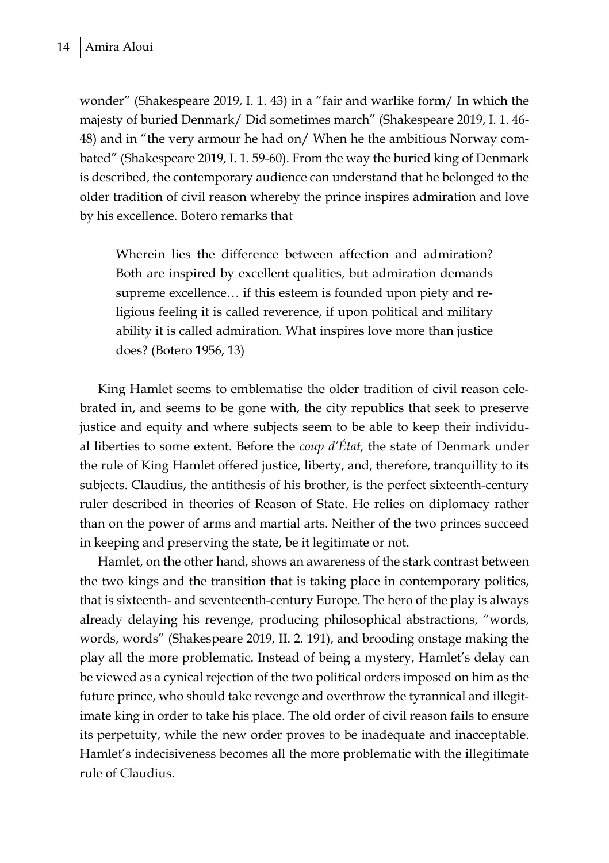wonder" (Shakespeare 2019, I. 1. 43) in a "fair and warlike form/ In which the majesty of buried Denmark/ Did sometimes march" (Shakespeare 2019, I. 1. 46- 48) and in "the very armour he had on/ When he the ambitious Norway combated" (Shakespeare 2019, I. 1. 59-60). From the way the buried king of Denmark is described, the contemporary audience can understand that he belonged to the older tradition of civil reason whereby the prince inspires admiration and love by his excellence. Botero remarks that

Wherein lies the difference between affection and admiration? Both are inspired by excellent qualities, but admiration demands supreme excellence… if this esteem is founded upon piety and religious feeling it is called reverence, if upon political and military ability it is called admiration. What inspires love more than justice does? (Botero 1956, 13)

King Hamlet seems to emblematise the older tradition of civil reason celebrated in, and seems to be gone with, the city republics that seek to preserve justice and equity and where subjects seem to be able to keep their individual liberties to some extent. Before the *coup d'État,* the state of Denmark under the rule of King Hamlet offered justice, liberty, and, therefore, tranquillity to its subjects. Claudius, the antithesis of his brother, is the perfect sixteenth-century ruler described in theories of Reason of State. He relies on diplomacy rather than on the power of arms and martial arts. Neither of the two princes succeed in keeping and preserving the state, be it legitimate or not.

Hamlet, on the other hand, shows an awareness of the stark contrast between the two kings and the transition that is taking place in contemporary politics, that is sixteenth- and seventeenth-century Europe. The hero of the play is always already delaying his revenge, producing philosophical abstractions, "words, words, words" (Shakespeare 2019, II. 2. 191), and brooding onstage making the play all the more problematic. Instead of being a mystery, Hamlet's delay can be viewed as a cynical rejection of the two political orders imposed on him as the future prince, who should take revenge and overthrow the tyrannical and illegitimate king in order to take his place. The old order of civil reason fails to ensure its perpetuity, while the new order proves to be inadequate and inacceptable. Hamlet's indecisiveness becomes all the more problematic with the illegitimate rule of Claudius.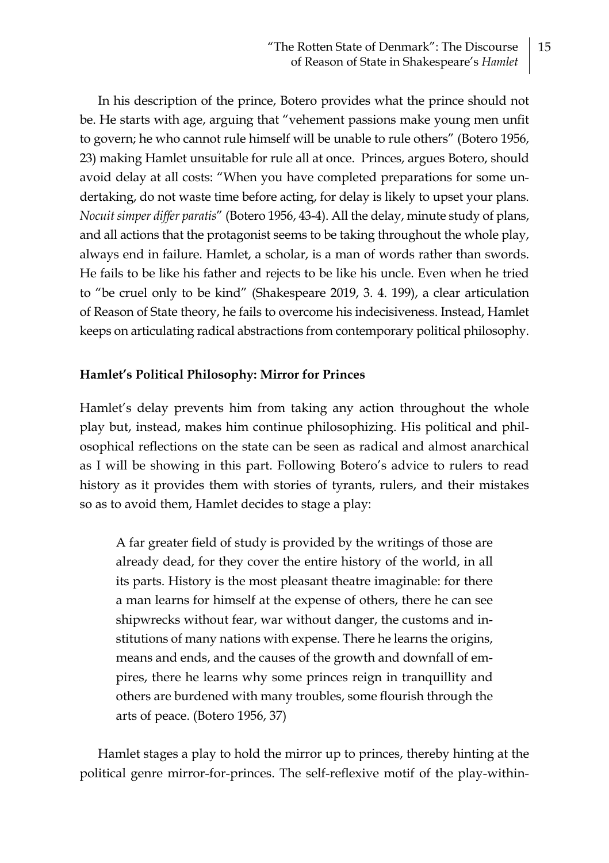In his description of the prince, Botero provides what the prince should not be. He starts with age, arguing that "vehement passions make young men unfit to govern; he who cannot rule himself will be unable to rule others" (Botero 1956, 23) making Hamlet unsuitable for rule all at once. Princes, argues Botero, should avoid delay at all costs: "When you have completed preparations for some undertaking, do not waste time before acting, for delay is likely to upset your plans. *Nocuit simper differ paratis*" (Botero 1956, 43-4). All the delay, minute study of plans, and all actions that the protagonist seems to be taking throughout the whole play, always end in failure. Hamlet, a scholar, is a man of words rather than swords. He fails to be like his father and rejects to be like his uncle. Even when he tried to "be cruel only to be kind" (Shakespeare 2019, 3. 4. 199), a clear articulation of Reason of State theory, he fails to overcome his indecisiveness. Instead, Hamlet keeps on articulating radical abstractions from contemporary political philosophy.

### **Hamlet's Political Philosophy: Mirror for Princes**

Hamlet's delay prevents him from taking any action throughout the whole play but, instead, makes him continue philosophizing. His political and philosophical reflections on the state can be seen as radical and almost anarchical as I will be showing in this part. Following Botero's advice to rulers to read history as it provides them with stories of tyrants, rulers, and their mistakes so as to avoid them, Hamlet decides to stage a play:

A far greater field of study is provided by the writings of those are already dead, for they cover the entire history of the world, in all its parts. History is the most pleasant theatre imaginable: for there a man learns for himself at the expense of others, there he can see shipwrecks without fear, war without danger, the customs and institutions of many nations with expense. There he learns the origins, means and ends, and the causes of the growth and downfall of empires, there he learns why some princes reign in tranquillity and others are burdened with many troubles, some flourish through the arts of peace. (Botero 1956, 37)

Hamlet stages a play to hold the mirror up to princes, thereby hinting at the political genre mirror-for-princes. The self-reflexive motif of the play-within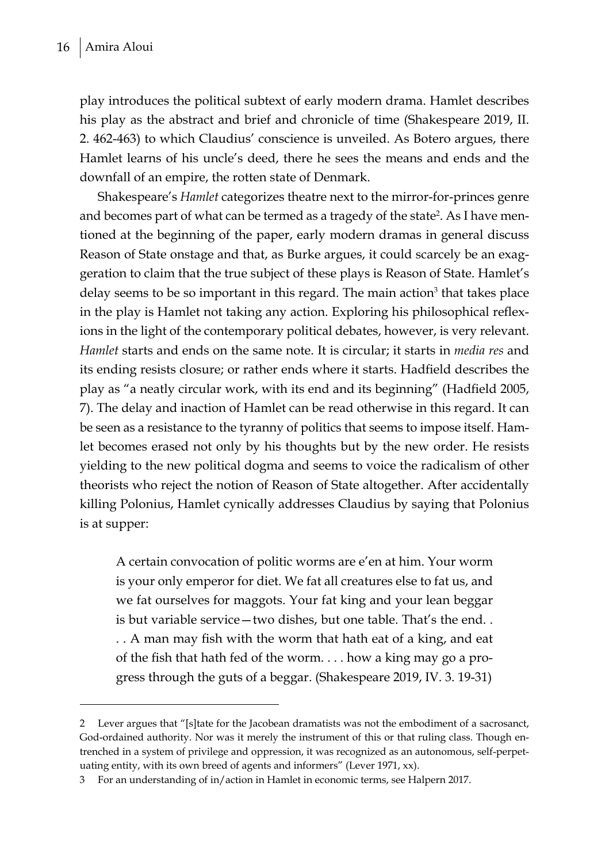play introduces the political subtext of early modern drama. Hamlet describes his play as the abstract and brief and chronicle of time (Shakespeare 2019, II. 2. 462-463) to which Claudius' conscience is unveiled. As Botero argues, there Hamlet learns of his uncle's deed, there he sees the means and ends and the downfall of an empire, the rotten state of Denmark.

Shakespeare's *Hamlet* categorizes theatre next to the mirror-for-princes genre and becomes part of what can be termed as a tragedy of the state<sup>2</sup>. As I have mentioned at the beginning of the paper, early modern dramas in general discuss Reason of State onstage and that, as Burke argues, it could scarcely be an exaggeration to claim that the true subject of these plays is Reason of State. Hamlet's delay seems to be so important in this regard. The main action<sup>3</sup> that takes place in the play is Hamlet not taking any action. Exploring his philosophical reflexions in the light of the contemporary political debates, however, is very relevant. *Hamlet* starts and ends on the same note. It is circular; it starts in *media res* and its ending resists closure; or rather ends where it starts. Hadfield describes the play as "a neatly circular work, with its end and its beginning" (Hadfield 2005, 7). The delay and inaction of Hamlet can be read otherwise in this regard. It can be seen as a resistance to the tyranny of politics that seems to impose itself. Hamlet becomes erased not only by his thoughts but by the new order. He resists yielding to the new political dogma and seems to voice the radicalism of other theorists who reject the notion of Reason of State altogether. After accidentally killing Polonius, Hamlet cynically addresses Claudius by saying that Polonius is at supper:

A certain convocation of politic worms are e'en at him. Your worm is your only emperor for diet. We fat all creatures else to fat us, and we fat ourselves for maggots. Your fat king and your lean beggar is but variable service—two dishes, but one table. That's the end. . . . A man may fish with the worm that hath eat of a king, and eat of the fish that hath fed of the worm. . . . how a king may go a progress through the guts of a beggar. (Shakespeare 2019, IV. 3. 19-31)

<sup>2</sup> Lever argues that "[s]tate for the Jacobean dramatists was not the embodiment of a sacrosanct, God-ordained authority. Nor was it merely the instrument of this or that ruling class. Though entrenched in a system of privilege and oppression, it was recognized as an autonomous, self-perpetuating entity, with its own breed of agents and informers" (Lever 1971, xx).

<sup>3</sup> For an understanding of in/action in Hamlet in economic terms, see Halpern 2017.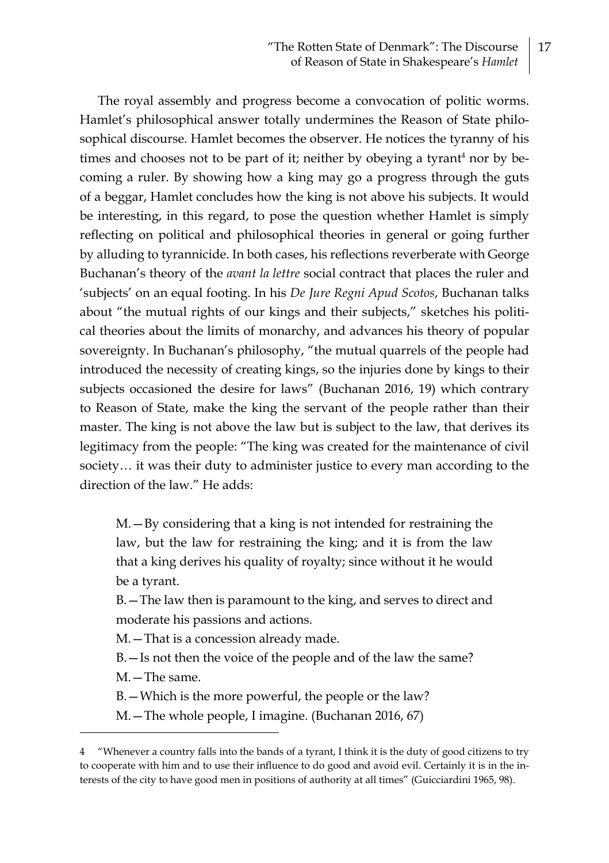The royal assembly and progress become a convocation of politic worms. Hamlet's philosophical answer totally undermines the Reason of State philosophical discourse. Hamlet becomes the observer. He notices the tyranny of his times and chooses not to be part of it; neither by obeying a tyrant<sup>4</sup> nor by becoming a ruler. By showing how a king may go a progress through the guts of a beggar, Hamlet concludes how the king is not above his subjects. It would be interesting, in this regard, to pose the question whether Hamlet is simply reflecting on political and philosophical theories in general or going further by alluding to tyrannicide. In both cases, his reflections reverberate with George Buchanan's theory of the *avant la lettre* social contract that places the ruler and 'subjects' on an equal footing. In his *De Jure Regni Apud Scotos*, Buchanan talks about "the mutual rights of our kings and their subjects," sketches his political theories about the limits of monarchy, and advances his theory of popular sovereignty. In Buchanan's philosophy, "the mutual quarrels of the people had introduced the necessity of creating kings, so the injuries done by kings to their subjects occasioned the desire for laws" (Buchanan 2016, 19) which contrary to Reason of State, make the king the servant of the people rather than their master. The king is not above the law but is subject to the law, that derives its legitimacy from the people: "The king was created for the maintenance of civil society… it was their duty to administer justice to every man according to the direction of the law." He adds:

M.—By considering that a king is not intended for restraining the law, but the law for restraining the king; and it is from the law that a king derives his quality of royalty; since without it he would be a tyrant.

B.—The law then is paramount to the king, and serves to direct and moderate his passions and actions.

M.—That is a concession already made.

B.—Is not then the voice of the people and of the law the same?

M.—The same.

B.—Which is the more powerful, the people or the law?

M.—The whole people, I imagine. (Buchanan 2016, 67)

<sup>4</sup> "Whenever a country falls into the bands of a tyrant, I think it is the duty of good citizens to try to cooperate with him and to use their influence to do good and avoid evil. Certainly it is in the interests of the city to have good men in positions of authority at all times" (Guicciardini 1965, 98).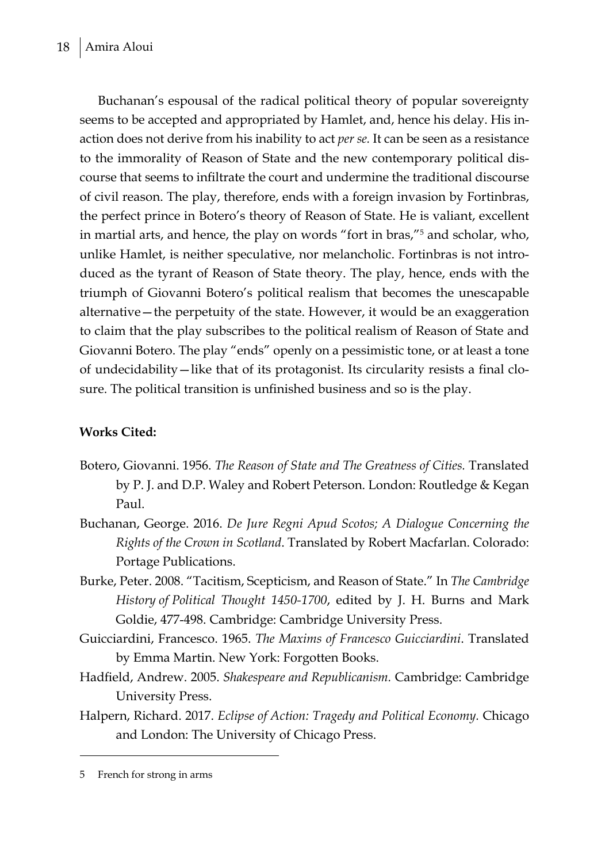Buchanan's espousal of the radical political theory of popular sovereignty seems to be accepted and appropriated by Hamlet, and, hence his delay. His inaction does not derive from his inability to act *per se.* It can be seen as a resistance to the immorality of Reason of State and the new contemporary political discourse that seems to infiltrate the court and undermine the traditional discourse of civil reason. The play, therefore, ends with a foreign invasion by Fortinbras, the perfect prince in Botero's theory of Reason of State. He is valiant, excellent in martial arts, and hence, the play on words "fort in bras,"5 and scholar, who, unlike Hamlet, is neither speculative, nor melancholic. Fortinbras is not introduced as the tyrant of Reason of State theory. The play, hence, ends with the triumph of Giovanni Botero's political realism that becomes the unescapable alternative—the perpetuity of the state. However, it would be an exaggeration to claim that the play subscribes to the political realism of Reason of State and Giovanni Botero. The play "ends" openly on a pessimistic tone, or at least a tone of undecidability—like that of its protagonist. Its circularity resists a final closure. The political transition is unfinished business and so is the play.

# **Works Cited:**

- Botero, Giovanni. 1956. *The Reason of State and The Greatness of Cities.* Translated by P. J. and D.P. Waley and Robert Peterson. London: Routledge & Kegan Paul.
- Buchanan, George. 2016. *De Jure Regni Apud Scotos; A Dialogue Concerning the Rights of the Crown in Scotland*. Translated by Robert Macfarlan. Colorado: Portage Publications.
- Burke, Peter. 2008. "Tacitism, Scepticism, and Reason of State." In *The Cambridge History of Political Thought 1450-1700*, edited by J. H. Burns and Mark Goldie, 477-498. Cambridge: Cambridge University Press.
- Guicciardini, Francesco. 1965. *The Maxims of Francesco Guicciardini*. Translated by Emma Martin. New York: Forgotten Books.
- Hadfield, Andrew. 2005. *Shakespeare and Republicanism.* Cambridge: Cambridge University Press.
- Halpern, Richard. 2017. *Eclipse of Action: Tragedy and Political Economy.* Chicago and London: The University of Chicago Press.

<sup>5</sup> French for strong in arms